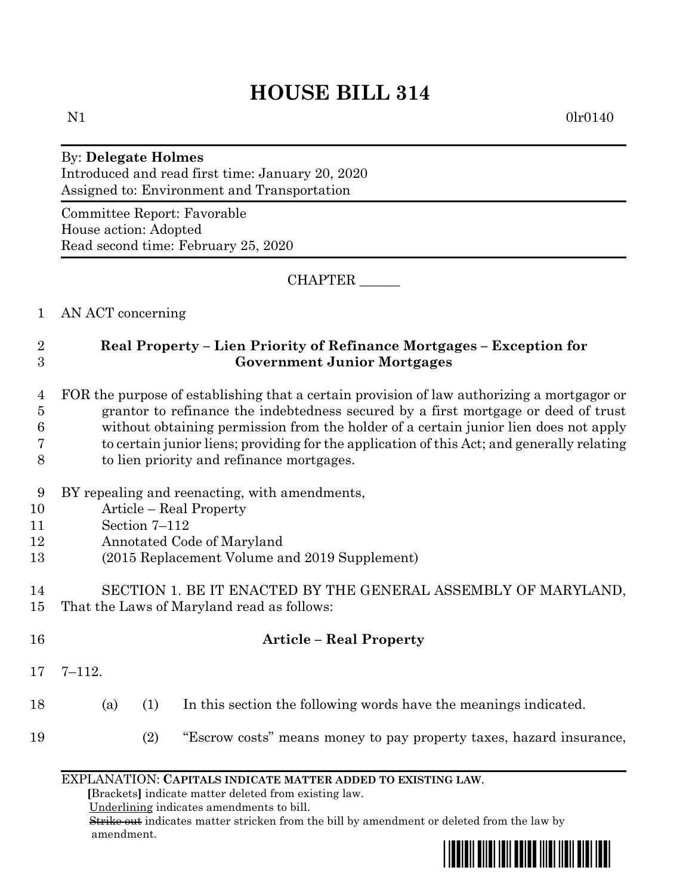# **HOUSE BILL 314**

N1 0lr0140

# By: **Delegate Holmes**

Introduced and read first time: January 20, 2020 Assigned to: Environment and Transportation

Committee Report: Favorable House action: Adopted Read second time: February 25, 2020

CHAPTER \_\_\_\_\_\_

1 AN ACT concerning

### 2 **Real Property – Lien Priority of Refinance Mortgages – Exception for**  3 **Government Junior Mortgages**

## 4 FOR the purpose of establishing that a certain provision of law authorizing a mortgagor or 5 grantor to refinance the indebtedness secured by a first mortgage or deed of trust 6 without obtaining permission from the holder of a certain junior lien does not apply 7 to certain junior liens; providing for the application of this Act; and generally relating

- 8 to lien priority and refinance mortgages.
- 9 BY repealing and reenacting, with amendments,
- 10 Article Real Property
- 11 Section 7–112
- 12 Annotated Code of Maryland
- 13 (2015 Replacement Volume and 2019 Supplement)
- 14 SECTION 1. BE IT ENACTED BY THE GENERAL ASSEMBLY OF MARYLAND, 15 That the Laws of Maryland read as follows:
- 16 **Article – Real Property**
- 17 7–112.
- 18 (a) (1) In this section the following words have the meanings indicated.
- 19 (2) "Escrow costs" means money to pay property taxes, hazard insurance,

#### EXPLANATION: **CAPITALS INDICATE MATTER ADDED TO EXISTING LAW**.

 **[**Brackets**]** indicate matter deleted from existing law.

Underlining indicates amendments to bill.

 Strike out indicates matter stricken from the bill by amendment or deleted from the law by amendment.

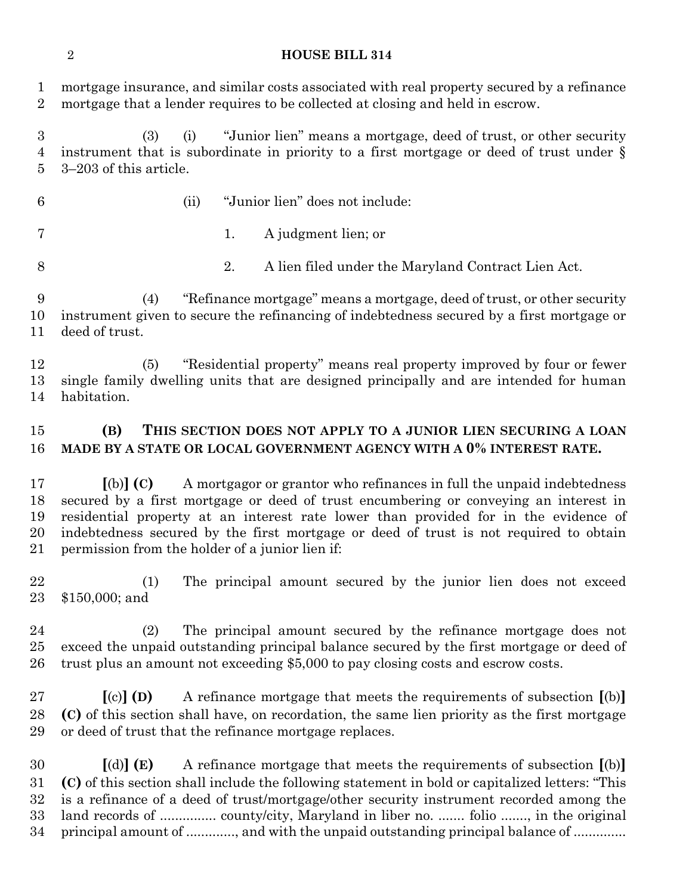#### **HOUSE BILL 314**

 mortgage insurance, and similar costs associated with real property secured by a refinance mortgage that a lender requires to be collected at closing and held in escrow.

 (3) (i) "Junior lien" means a mortgage, deed of trust, or other security instrument that is subordinate in priority to a first mortgage or deed of trust under § 3–203 of this article.

- (ii) "Junior lien" does not include:
- 
- 1. A judgment lien; or
- 2. A lien filed under the Maryland Contract Lien Act.

 (4) "Refinance mortgage" means a mortgage, deed of trust, or other security instrument given to secure the refinancing of indebtedness secured by a first mortgage or deed of trust.

 (5) "Residential property" means real property improved by four or fewer single family dwelling units that are designed principally and are intended for human habitation.

#### **(B) THIS SECTION DOES NOT APPLY TO A JUNIOR LIEN SECURING A LOAN MADE BY A STATE OR LOCAL GOVERNMENT AGENCY WITH A 0% INTEREST RATE.**

 **[**(b)**] (C)** A mortgagor or grantor who refinances in full the unpaid indebtedness secured by a first mortgage or deed of trust encumbering or conveying an interest in residential property at an interest rate lower than provided for in the evidence of indebtedness secured by the first mortgage or deed of trust is not required to obtain permission from the holder of a junior lien if:

 (1) The principal amount secured by the junior lien does not exceed \$150,000; and

 (2) The principal amount secured by the refinance mortgage does not exceed the unpaid outstanding principal balance secured by the first mortgage or deed of trust plus an amount not exceeding \$5,000 to pay closing costs and escrow costs.

 **[**(c)**] (D)** A refinance mortgage that meets the requirements of subsection **[**(b)**] (C)** of this section shall have, on recordation, the same lien priority as the first mortgage or deed of trust that the refinance mortgage replaces.

 **[**(d)**] (E)** A refinance mortgage that meets the requirements of subsection **[**(b)**] (C)** of this section shall include the following statement in bold or capitalized letters: "This is a refinance of a deed of trust/mortgage/other security instrument recorded among the land records of ............... county/city, Maryland in liber no. ....... folio ......., in the original principal amount of ............., and with the unpaid outstanding principal balance of ..............